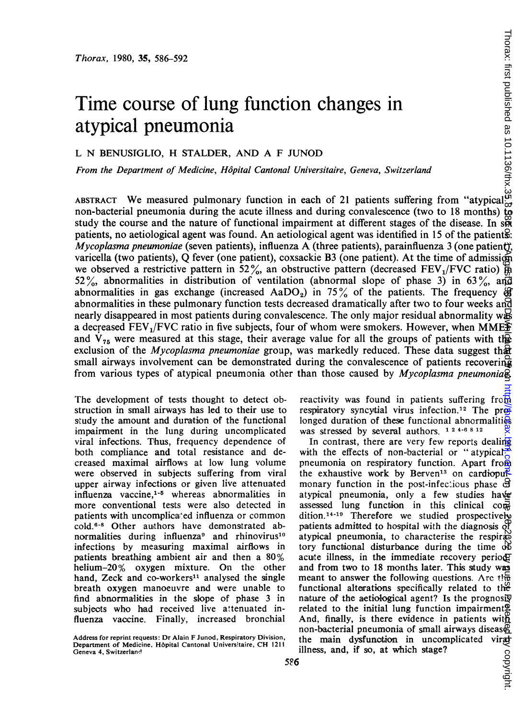# Time course of lung function changes in atypical pneumonia

## L N BENUSIGLIO, H STALDER, AND A F JUNOD

From the Department of Medicine, Hôpital Cantonal Universitaire, Geneva, Switzerland

ABSTRACT We measured pulmonary function in each of 21 patients suffering from "atypical", non-bacterial pneumonia during the acute illness and during convalescence (two to 18 months) to study the course and the nature of functional impairment at different stages of the disease. In s $\tilde{x}$ patients, no aetiological agent was found. An aetiological agent was identified in <sup>15</sup> of the patients: Mycoplasma pneumoniae (seven patients), influenza A (three patients), parainfluenza 3 (one patient), varicella (two patients), Q fever (one patient), coxsackie B3 (one patient). At the time of admission we observed a restrictive pattern in 52%, an obstructive pattern (decreased FEV<sub>1</sub>/FVC ratio)  $\overrightarrow{m}$ 52%, abnormalities in distribution of ventilation (abnormal slope of phase 3) in 63%, and abnormalities in gas exchange (increased AaDO<sub>2</sub>) in 75% of the patients. The frequency  $\circledA$ abnormalities in these pulmonary function tests decreased dramatically after two to four weeks and nearly disappeared in most patients during convalescence. The only major residual abnormality was a decreased FEV<sub>1</sub>/FVC ratio in five subjects, four of whom were smokers. However, when MME $\ddot{\mathbf{F}}$ and  $V_{75}$  were measured at this stage, their average value for all the groups of patients with the exclusion of the *Mycoplasma pneumoniae* group, was markedly reduced. These data suggest that small airways involvement can be demonstrated during the convalescence of patients recovering from various types of atypical pneumonia other than those caused by *Mycoplasma pneumonia* 

The development of tests thought to detect obstruction in small airways has led to their use to study the amount and duration of the functional impairment in the lung during uncomplicated viral infections. Thus, frequency dependence of both compliance and total resistance and decreased maximal airflows at low lung volume were observed in subjects suffering from viral upper airway infections or given live attenuated influenza vaccine,<sup>1-5</sup> whereas abnormalities in more conventional tests were also detected in patients with uncomplica;ed influenza or common cold.6-8 Other authors have demonstrated abnormalities during influenza<sup>9</sup> and rhinovirus<sup>10</sup> infections by measuring maximal airflows in patients breathing ambient air and then a 80% helium-20% oxygen mixture. On the other hand, Zeck and co-workers<sup>11</sup> analysed the single breath oxygen manoeuvre and were unable to find abnormalities in the slope of phase 3 in subjects who had received live attenuated influenza vaccine. Finally, increased bronchial

reactivity was found in patients suffering from respiratory syncytial virus infection.<sup>12</sup> The prolonged duration of these functional abnormalities was stressed by several authors. 124-6812

In contrast, there are very few reports dealing with the effects of non-bacterial or "atypical" pneumonia on respiratory function. Apart from the exhaustive work by Berven<sup>13</sup> on cardiopulmonary function in the post-infectious phase  $\sigma$ atypical pneumonia, only a few studies have assessed lung function in this clinical condition.14-19 Therefore we studied prospectively patients admitted to hospital with the diagnosis of atypical pneumonia, to characterise the respiratory functional disturbance during the time  $\aleph$ acute illness, in the immediate recovery period; and from two to 18 months later. This study was meant to answer the following questions. Arc the functional alterations specifically related to the nature of the aetiological agent? Is the prognosiy related to the initial lung function impairment<sup>o</sup>. And, finally, is there evidence in patients with non-bacterial pneumonia of small airways disease<br>the main dysfunction in uncomplicated viratillness, and, if so, at which stage?<br> $\frac{60}{20}$ <br>;<br> $\frac{1}{21}$ the main dysfunction in uncomplicated illness, and, if so, at which stage? lnon verseight. Protected by Guest. Protected by Guest. Published as 10.114 on 1 August 1980. Published as 10<br>In any 10.1000 verseight published as 10.113.0 on 1 August 1980. Downloaded from 1 August 1980. Downloaded fro

Address for reprint requests: Dr Alain F Junod, Respiratory Division, Department of Medicine. H6pital Cantonal Universitaire, CH <sup>1211</sup> Geneva 4, Switzeriand!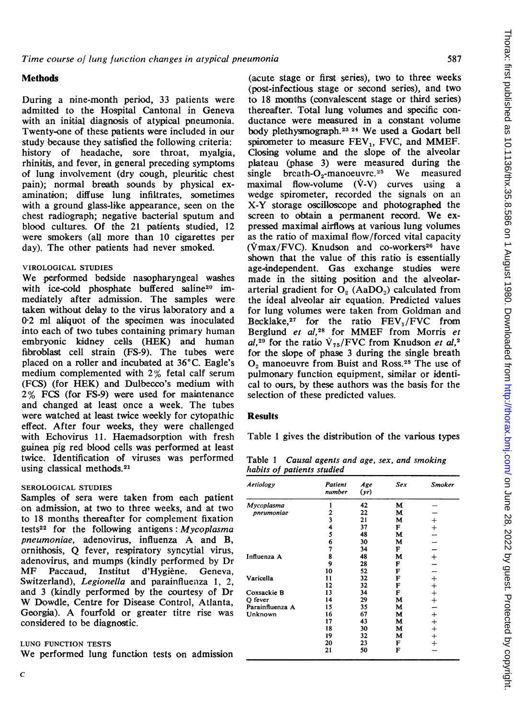## **Methods**

During a nine-month period, 33 patients were admitted to the Hospital Cantonal in Geneva with an initial diagnosis of atypical pneumonia. Twenty-one of these patients were included in our study because they satisfied the following criteria: history of headache, sore throat, myalgia, rhinitis, and fever, in general preceding symptoms of lung involvement (dry cough, pleuritic chest pain); normal breath sounds by physical examination; diffuse lung infiltrates, sometimes with a ground glass-like appearance, seen on the chest radiograph; negative bacterial sputum and blood cultures. Of the 21 patients studied, 12 were smokers (all more than 10 cigarettes per day). The other patients had never smoked.

### VIROLOGICAL STUDIES

We performed bedside nasopharyngeal washes with ice-cold phosphate buffered saline<sup>20</sup> immediately after admission. The samples were taken without delay to the virus laboratory and a 0-2 ml aliquot of the specimen was inoculated into each of two tubes containing primary human embryonic kidney cells (HEK) and human fibroblast cell strain (FS-9). The tubes were placed on a roller and incubated at  $36^{\circ}$ C. Eagle's medium complemented with 2% fetal calf serum (FCS) (for HEK) and Dulbecco's medium with 2% FCS (for FS-9) were used for maintenance and changed at least once a week. The tubes were watched at least twice weekly for cytopathic effeot. After four weeks, they were challenged with Echovirus 11. Haemadsorption with fresh guinea pig red blood cells was performed at least twice. Identification of viruses was performed using classical methods.<sup>21</sup>

#### SEROLOGICAL STUDIES

Samples of sera were taken from each patient on admission, at two to three weeks, and at two to 18 months thereafter for complement fixation tests<sup>22</sup> for the following antigens: Mycoplasma pneumoniae, adenovirus, influenza A and B, ornithosis, Q fever, respiratory syncytial virus, adenovirus, and mumps (kindly performed by Dr<br>MF Paccaud, Institut d'Hygiène. Geneva, Paccaud, Institut d'Hygiène. Geneva, Switzerland), Legionella and parainfluenza 1, 2, and 3 (kindly performed by the courtesy of Dr W Dowdle, Centre for Disease Control, Atlanta, Georgia). A fourfold or greater titre rise was considered to be diagnostic.

#### LUNG FUNCTION TESTS

We performed lung function tests on admission

(acute stage or first series), two to three weeks (post-infectious stage or second series), and two to 18 montlhs (convalescent stage or third series) thereafter. Total lung volumes and specific conductance were measured in a constant volume body plethysmograph.23 <sup>24</sup> We used a Godart bell spirometer to measure FEV<sub>1</sub>, FVC, and MMEF. Closing volume and the slope of the alveolar plateau (phase 3) were measured during the single breath- $O_2$ -manoeuvre.<sup>25</sup> We measured maximal flow-volume (V-V) curves using a wedge spirometer, recorded the signals on an X-Y storage oscilloscope and photographed the screen to obtain <sup>a</sup> permanent record. We expressed maximal airflows at various lung volumes as the ratio of maximal flow/forced vital capacity  $(\text{Vmax}/\text{FVC})$ . Knudson and co-workers<sup>26</sup> have shown that the value of this ratio is essentially age-independent. Gas exchange studies were made in the sitting position and the alveolararterial gradient for  $O<sub>2</sub>$  (AaDO<sub>2</sub>) calculated from the ideal alveolar air equation. Predicted values for lung volumes were taken from Goldman and Becklake,<sup>27</sup> for the ratio  $FEV<sub>1</sub>/FVC$  from Berglund et al,<sup>28</sup> for MMEF from Morris et al,<sup>29</sup> for the ratio  $V_{75}/FVC$  from Knudson et al,<sup>2</sup> for the slope of phase 3 during the single breath  $O<sub>2</sub>$  manoeuvre from Buist and Ross.<sup>25</sup> The use of pulmonary function equipment, similar or identical to ours, by these authors was the basis for the selection of these predicted values.

#### **Results**

Table <sup>1</sup> gives the distribution of the various types

Table <sup>1</sup> Causal agents and age, sex, and smoking habits of patients studied

| Aetiology       | Patient<br>number       | Age<br>(yr) | Sex | <b>Smoker</b> |
|-----------------|-------------------------|-------------|-----|---------------|
| Mycoplasma      |                         | 42          | м   |               |
| pneumoniae      | 2                       | 22          | м   |               |
|                 | $\overline{\mathbf{3}}$ | 21          | м   | $^+$          |
|                 | 4                       | 37          | F   | $^{+}$        |
|                 | 5                       | 48          | м   |               |
|                 | 6                       | 30          | М   |               |
|                 | 7                       | 34          | F   |               |
| Influenza A     | 8                       | 48          | м   | $\ddot{}$     |
|                 | 9                       | 28          | F   |               |
|                 | 10                      | 52          | F   |               |
| Varicella       | 11                      | 32          | F   | $^{+}$        |
|                 | 12                      | 32          | F   |               |
| Coxsackie B     | 13                      | 34          | F   | $+$           |
| O fever         | 14                      | 29          | M   | $\ddot{}$     |
| Parainfluenza A | 15                      | 35          | M   |               |
| Unknown         | 16                      | 67          | м   | $\, +$        |
|                 | 17                      | 43          | м   | $^{+}$        |
|                 | 18                      | 30          | м   | $^{+}$        |
|                 | 19                      | 32          | м   | $^{+}$        |
|                 | 20                      | 23          | F   | $^{+}$        |
|                 | 21                      | 50          | F   |               |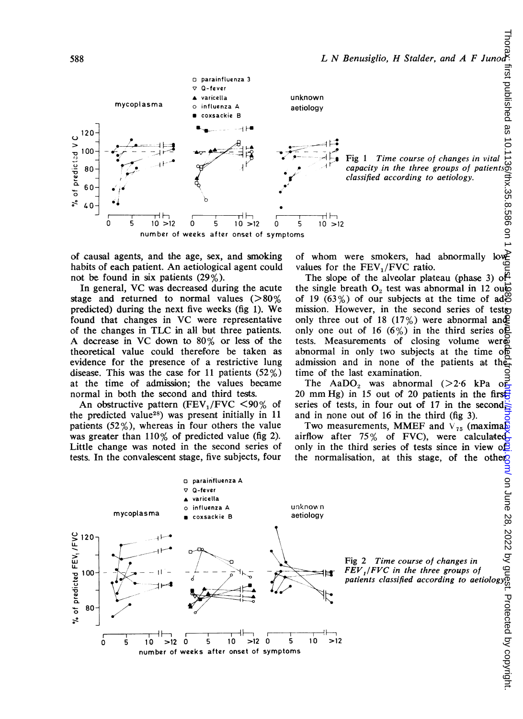

of causal agents, and the age, sex, and smoking habits of each patient. An aetiological agent could not be found in six patients (29%).

In general, VC was decreased during the acute stage and returned to normal values  $(>\!\!80\%)$ predicted) during the next five weeks (fig 1). We found that changes in VC were representative of the changes in TLC in all but three patients. A decrease in VC down to 80% or less of the theoretical value could therefore be taken as evidence for the presence of a restrictive lung disease. This was the case for 11 patients (52%) at the time of admission; the values became normal in both the second and third tests.

An obstructive pattern (FEV<sub>1</sub>/FVC <90% of the predicted value28) was present initially in 11 patients (52%), whereas in four others the value was greater than 110% of predicted value (fig 2). Little change was noted in the second series of tests. In the convalescent stage, five subjects, four

of whom were smokers, had abnormally lowvalues for the  $FEV_1/FVC$  ratio.

The slope of the alveolar plateau (phase 3) of the single breath  $O_2$  test was abnormal in 12 out of 19 (63%) of our subjects at the time of ad $\ddot{\circ}$ mission. However, in the second series of tests only three out of 18 (17%) were abnormal and only one out of 16 (6%) in the third series of tests. Measurements of closing volume were abnormal in only two subjects at the time of admission and in none of the patients at the time of the last examination.

The AaDO<sub>2</sub> was abnormal  $(>2.6$  kPa 20 mm Hg) in 15 out of 20 patients in the first series of tests, in four out of 17 in the second, and in none out of 16 in the third (fig 3).

Two measurements, MMEF and  $V_{75}$  (maximal airflow after 75% of FVC), were calculated only in the third series of tests since in view  $\sigma$ B the normalisation, at this stage, of the other



Fig 2 Time course of changes in FEV,/FVC in the three groups of Fig 2 Time course of changes in  $\frac{1}{2}$  CS  $\frac{1}{2}$  CS  $\frac{1}{2}$  CS  $\frac{1}{2}$  CS  $\frac{1}{2}$  CHV  $\frac{1}{2}$  FFEV  $\frac{1}{2}$  FVC in the three groups of  $\frac{1}{2}$  CNC  $\frac{1}{2}$  CNC  $\frac{1}{2}$  CNC  $\frac{1}{2}$  CNC  $\frac{1}{2}$  CNC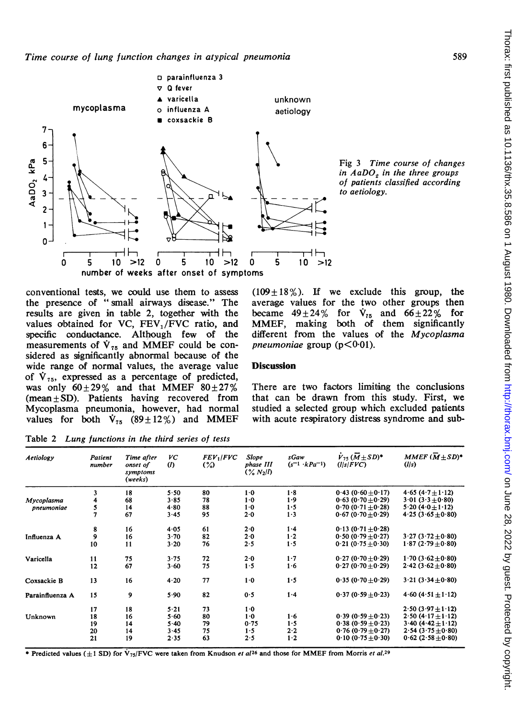

Fig <sup>3</sup> Time course of changes in  $AaDO<sub>s</sub>$  in the three groups of patients classified according to aetiology.

conventional tests, we could use them to assess the presence of "small airways disease." The results are given in table 2, together with the values obtained for VC, FEV<sub>1</sub>/FVC ratio, and specific conductance. Although few of the measurements of  $\dot{V}_{75}$  and MMEF could be considered as significantly abnormal because of the wide range of normal values, the average value of  $\dot{V}_{75}$ , expressed as a percentage of predicted, was only  $60\pm29\%$  and that MMEF  $80\pm27\%$ (mean  $\pm$  SD). Patients having recovered from Mycoplasma pneumonia, however, had normal values for both  $\dot{V}_{75}$  (89 ± 12%) and MMEF

 $(109 \pm 18\%)$ . If we exclude this group, the average vallues for the two other groups then became  $49\pm24\%$  for  $\dot{V}_{75}$  and  $66\pm22\%$  for MMEF, making both of them significantly different from the values of the Mycoplasma pneumoniae group  $(p<0.01)$ .

## **Discussion**

There are two factors limiting the conclusions that can be drawn from this study. First, we studied a selected group which excluded patients with acute respiratory distress syndrome and sub-

Table 2 Lung functions in the third series of tests

|                                                                               | 4.65 (4.7 $\pm$ 1.12)<br>$3.01(3.3\pm0.80)$ |
|-------------------------------------------------------------------------------|---------------------------------------------|
| 1.8<br>1.0<br>$0.43(0.60+0.17)$<br>3<br>18<br>80<br>5.50                      |                                             |
| 4<br>78<br>1.9<br>68<br>3.85<br>$1-0$<br>$0.63 (0.70 \pm 0.29)$<br>Mycoplasma |                                             |
| 1.5<br>$0.70(0.71 + 0.28)$<br>14<br>88<br>$1-0$<br>4.80<br>pneumoniae         | 5.20 (4.0 $\pm$ 1.12)                       |
| 5<br>7<br>67<br>$1-3$<br>95<br>$2 - 0$<br>3.45<br>$0.67(0.70+0.29)$           | $4.25(3.65\pm0.80)$                         |
| 61<br>1.4<br>16<br>$0.13(0.71\pm0.28)$<br>8<br>2.0<br>4.05                    |                                             |
| 9<br>$1-2$<br>$0.50(0.79 + 0.27)$<br>16<br>82<br>2.0<br>3.70<br>Influenza A   | $3.27(3.72+0.80)$                           |
| 1.5<br>10<br>11<br>76<br>2.5<br>$0.21(0.75+0.30)$<br>3.20                     | $1.87(2.79+0.80)$                           |
| 1.7<br>$0.27 (0.70 \pm 0.29)$<br>75<br>72<br>2.0<br>3.75<br>11<br>Varicella   | $1.70(3.62\pm0.80)$                         |
| 67<br>75<br>$1-6$<br>$0.27(0.70\pm0.29)$<br>12<br>1.5<br>3.60                 | $2.42(3.62\pm0.80)$                         |
| 77<br>1.5<br>$0.35(0.70 + 0.29)$<br>$1-0$<br>13<br>16<br>4.20<br>Coxsackie B  | $3.21(3.34\pm0.80)$                         |
| 82<br>1.4<br>9<br>0.5<br>$0.37(0.59 + 0.23)$<br>15<br>5.90<br>Parainfluenza A | $4.60(4.51 + 1.12)$                         |
| 18<br>73<br>1.0<br>17<br>5.21                                                 | $2.50(3.97 + 1.12)$                         |
| 1.6<br>16<br>$0.39(0.59+0.23)$<br>18<br>5.60<br>80<br>$1-0$<br>Unknown        | $2.50(4.17 + 1.12)$                         |
| 1.5<br>79<br>$0.38(0.59 + 0.23)$<br>19<br>14<br>5.40<br>0.75                  | $3.40(4.42 \pm 1.12)$                       |
| 20<br>75<br>2.2<br>$0.76$ (0.79 $\pm$ 0.27)<br>14<br>3.45<br>1.5              | $2.54(3.75\pm0.80)$                         |
| 21<br>$1-2$<br>19<br>63<br>2.5<br>$0.10(0.75+0.30)$<br>2.35                   | $0.62(2.58\pm0.80)$                         |

\* Predicted values ( $\pm 1$  SD) for V<sub>75</sub>/FVC were taken from Knudson *et al*<sup>26</sup> and those for MMEF from Morris *et al.*<sup>29</sup>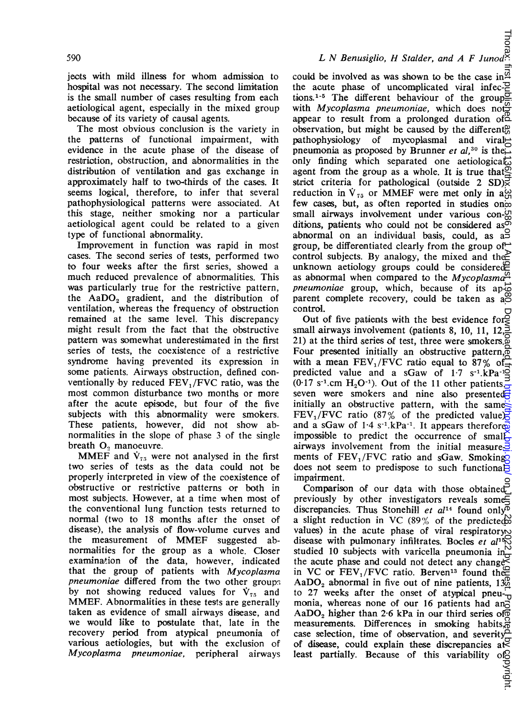jects with mild illness for whom admission to hospital was not necessary. The second limitation is the small number of cases resulting from each aetiological agent, especially in the mixed group because of its variety of causal agents.

The most obvious conclusion is the variety in the patterns of functional impairment, with evidence in the acute phase of the disease of restriction, obstruction, and abnormalities in the distributioon of ventilation and gas exchange in approximately half to two-thirds of the cases. It seems logical, therefore, to infer that several pathophysiological patterns were associated. At this stage, neither smoking nor a particular aetiological agent could be related to a given type of functional abnormality.

Improvement in function was rapid in most cases. The second series of tests, performed two to four weeks after the first series, showed a much reduced prevalence of abnormalities. This was particularly true for the restrictive pattern, the  $AaDO<sub>2</sub>$  gradient, and the distribution of ventilation, whereas the frequency of obstruction remained at the same level. This discrepancy might result from the fact that the obstructive pattern was somewhat underestimated in the first series of tests, the coexistence of a restrictive syndrome having prevented its expression in some patients. Airways obstruction, defined conventionally by reduced  $FEV<sub>1</sub>/FVC$  ratio, was the most common disturbance two months or more after the acute episode, but four of the five subjects with this abnormality were smokers. These patients, however, did not show abnormalities in the slope of phase 3 of the single breath  $O_2$  manoeuvre.

MMEF and  $\dot{V}_{75}$  were not analysed in the first two series of tests as the data could not be properly interpreted in view of the coexistence of obstructive or restrictive patterns or both in most subjects. However, at a time when most of the conventional lung function tests returned to normal (two to 18 months after the onset of disease), the analysis of flow-volume curves and the measurement of MMEF suggested abnormailities for the group as a whole. Closer examination of the data, however, indicated that the group of patients with Mycoplasma pneumoniae differed from the two other groups by not showing reduced values for  $\dot{V}_{75}$  and MMEF. Abnormalities in these tests are generally taken as evidence of small airways disease, and we would like to postulate that, late in the recovery period from atypical pneumonia of various aetiologies, but with the exclusion of Mycoplasma pneumoniae, peripheral airways

could be involved as was shown to be the case in  $\frac{\alpha}{2}$ the acute phase of uncomplicated viral infections.<sup>1-5</sup> The different behaviour of the groupwith *Mycoplasma pneumoniae*, which does not appear to result from a prolonged duration of  $\mathbb{Z}$ observation, but might be caused by the different<sup>9</sup> pathophysiology of mycoplasmal and viral  $\uparrow$ pathophysiology of mycoplasmal and pneumonia as proposed by Brunner et al, <sup>30</sup> is the only finding which separated one aetiological agent from the group as a whole. It is true that  $\mathbb{S}$ strict criteria for pathological (outside 2 SD) $\overline{\vec{z}}$ reduction in  $V_{75}$  or MMEF were met only in a $\omega$ few cases, but, as often reported in studies on small airways involvement under various con- $\frac{0}{00}$ ditions, patients who could not be considered as  $\overline{\circ}$ abnormal on an individual basis, could, as a group, be differentiated clearly from the group of  $\rightleftharpoonup$ control subjects. By analogy, the mixed and the unknown aetiology groups could be considered as abnormal when compared to the Mycoplasma $\frac{a}{r}$ *pneumoniae* group, which, because of its ap- $\vec{\omega}$ parent complete recovery, could be taken as a control. LN Benusigito, H Statlaer, and A F June 28, 2022<br>
could be involved as was shown to be the case in  $\frac{1}{2}$ <br>
the case in uncomplicated viral infect polytomar of the group<br>
signate on the case in the strongent or result f

Out of five patients with the best evidence for small airways involvement (patients 8, 10, 11, 12, 21) at the third series of test, three were smokers. $\frac{1}{2}$ Four presented initially an obstructive pattern, $\phi$ with a mean  $FEV_1/FVC$  ratio equal to 87% of predicted value and a sGaw of  $1.7 \text{ s}^{-1} \text{.kPa}^{-1}$ (0.17 s<sup>-1</sup>.cm H<sub>2</sub>O<sup>-1</sup>). Out of the 11 other patients, seven were smokers and nine also presented initially an obstructive pattern, with the same. FEV<sub>1</sub>/FVC ratio (87% of the predicted value) and a sGaw of  $1.4 \text{ s}^{-1}$ . RPa<sup>-1</sup>. It appears therefore impossible to predict the occurrence of small airways involvement from the initial measure- $\frac{3}{2}$ ments of  $FEV_1/FVC$  ratio and sGaw. Smoking does not seem to predispose to such functional impairment.

Comparison of our data with those obtained<sup> $\overline{C}$ </sup> previously by other investigators reveals some $\Xi$ discrepancies. Thus Stonehill et  $al^{14}$  found only<sup>o</sup> a slight reduction in VC (89% of the predicted values) in the acute phase of viral respiratory disease with pulmonary infiltrates. Bocles et  $a^{\mu}$ <sup>5</sup> $\heartsuit$ studied 10 subjects with varicella pneumonia  $in_{\mathcal{Q}}^{\infty}$ the acute phase and could not detect any change in VC or  $FEV_1/FVC$  ratio. Berven<sup>13</sup> found the AaDO<sub>2</sub> abnormal in five out of nine patients,  $13\%$ to 27 weeks after the onset of atypical pneu- $\overline{U}$ monia, whereas none of our 16 patients had and AaDO<sub>2</sub> higher than 2.6 kPa in our third series of  $\overline{0}$ measurements. Differences in smoking habits, case selection, time of observation, and severity<sup>o</sup> of disease, could explain these discrepancies at least partially. Because of this variability of  $\frac{1}{2}$ <br>in  $\frac{1}{2}$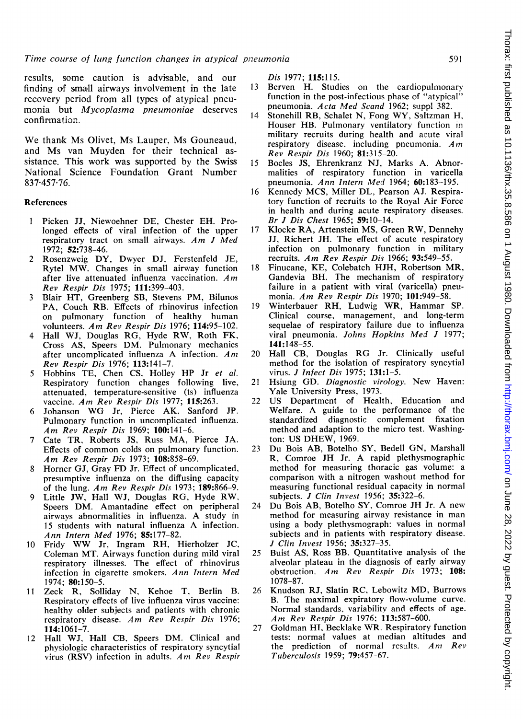results, some caution is advisable, and our finding of small airways involvement in the late recovery period from all types of atypical pneumonia but Mycoplasma pneumoniae deserves confirmation.

We thank Ms Olivet, Ms Lauper, Ms Gouneaud, and Ms van Muyden for their technical assistance. This work was supported by the Swiss National Science Foundation Grant Number 837 457 76.

#### **References**

- <sup>1</sup> Picken JJ, Niewoehner DE, Chester EH. Prolonged effects of viral infection of the upper respiratory tract on small airways. Am <sup>J</sup> Med 1972; 52:738-46.
- 2 Rosenzweig DY, Dwyer DJ, Ferstenfeld JE, Rytel MW. Changes in small airway function after live attenuated influenza vaccination.  $Am$ Rev Respir Dis 1975; 111:399-403.
- <sup>3</sup> Blair HT, Greenberg SB, Stevens PM, Bilunos PA, Couch RB. Effects of rhinovirus infection on pulmonary function of healthy human volunteers. Am Rev Respir Dis 1976; 114:95-102.
- <sup>4</sup> Hall WJ, Douglas RG, Hyde RW, Roth FK, Cross AS, Speers DM. Pulmonary mechanics after uncomplicated influenza A infection.  $Am$ Rev Respir Dis 1976; 113:141-7.
- 5 Hobbins TE, Chen CS, Holley HP Jr et al. Respiratory function changes following live, attenuated, temperature-sensitive (ts) influenza vaccine. Am Rev Respir Dis 1977; 115:263.
- <sup>6</sup> Johanson WG Jr, Pierce AK, Sanford JP. Pulmonary function in uncomplicated influenza. Am Rev Respir Dis 1969; 100:141-6.
- <sup>7</sup> Cate TR, Roberts JS, Russ MA, Pierce JA. Effects of common colds on pulmonary function. Am Rev Respir Dis 1973; 108:858-69.
- <sup>8</sup> Horner GJ, Gray FD Jr. Effect of uncomplicated, presumptive influenza on the diffusing capacity of the lung. Am Rev Respir Dis 1973;  $189:866-9$ .
- <sup>9</sup> Little JW, Hall WJ, Douglas RG, Hyde RW, Speers DM. Amantadine effect on peripheral airways abnormalities in influenza. A study in <sup>15</sup> students with natural influenza A infection. Ann Intern Med 1976; 85:177-82.
- <sup>10</sup> Fridy WW Jr, Ingram RH, Hierholzer JC, Coleman MT. Airways function during mild viral respiratory illnesses. The effect of rhinovirus infection in cigarette smokers. Ann Intern Med 1974; 80:150-5.
- <sup>11</sup> Zeck R, Solliday N, Kehoe T, Berlin B. Respiratory effects of live influenza virus vaccine: healthy older subjects and patients with chronic respiratory disease. Am Rev Respir Dis 1976; 114:1061-7.
- <sup>12</sup> Hall WJ, Hall CB, Speers DM. Clinical and physiologic characteristics of respiratory syncytial virus (RSV) infection in adults. Am Rev Respir

Dis 1977; 115:115.

- 13 Berven H. Studies on the cardiopulmonary function in the post-infectious phase of "atypical" pneumonia. Acta Med Scand 1962; suppl 382.
- <sup>14</sup> Stonehill RB, Schalet N, Fong WY, Saltzman H, Houser HB. Pulmonary ventilatory function in military recruits during health and acute viral respiratory disease, including pneumonia.  $Am$ Rev Respir Dis 1960; 81:315-20.
- 15 Bocles JS, Ehrenkranz NJ, Marks A. Abnormalities of respiratory function in varicella pneumonia. Ann Intern Med 1964; 60:183-195.
- <sup>16</sup> Kennedy MCS, Miller DL, Pearson AJ. Respiratory function of recruits to the Royal Air Force in health and during acute respiratory diseases. Br J Dis Chest 1965; 59:10-14.
- <sup>17</sup> Klocke RA, Artenstein MS, Green RW, Dennehy JJ, Richert JH. The effect of acute respiratory infection on pulmonary function in military recruits. Am Rev Respir Dis 1966; 93:549-55.
- <sup>18</sup> Finucane, KE, Colebatch HJH, Robertson MR, Gandevia BH. The mechanism of respiratory failure in a patient with viral (varicella) pneumonia. Am Rev Respir Dis 1970; 101:949-58.
- <sup>19</sup> Winterbauer RH, Ludwig WR, Hammar SP. Clinical course, management, and long-term sequelae of respiratory failure due to influenza viral pneumonia. Johns Hopkins Med <sup>J</sup> 1977; 141:148-55.
- <sup>20</sup> Hall CB, Douglas RG Jr. Clinically useful method for the isolation of respiratory syncytial virus. J Infect Dis 1975; 131:1-5.
- <sup>21</sup> Hsiung GD. Diagnostic virology. New Haven: Yale University Press, 1973.
- <sup>22</sup> US Department of Health, Education and Welfare. A guide to the performance of the standardized diagnostic complement fixation standardized diagnostic complement method and adaption to the micro test. Washington: US DHEW, 1969.
- <sup>23</sup> Du Bois AB, Botelho SY, Bedell GN, Marshall R, Comroe JH Jr. A rapid plethysmographic method for measuring thoracic gas volume: a comparison with a nitrogen washout method for measuring functional residual capacity in normal subjects. J Clin Invest 1956; 35:322-6.
- <sup>24</sup> Du Bois AB, Botelho SY, Comroe JH Jr. A new method for measuring airway resistance in man using a body plethysmograph: values in normal subjects and in patients with respiratory disease. J Clin Invest 1956; 35:327-35.
- 25 Buist AS, Ross BB. Quantitative analysis of the alveolar plateau in the diagnosis of early airway obstruction. Am Rev Respir Dis 1973; 108: 1078-87.
- <sup>26</sup> Knudson RJ, Slatin RC, Lebowitz MD, Burrows B. The maximal expiratory flow-volume curve. Normal standards, variabilitv and effects of age. Am Rev Respir Dis 1976: 113:587-600.
- 27 Goldman HI, Becklake WR. Respiratory function tests: normal values at median altitudes and the prediction of normal results.  $Am$   $Rev$ Tuberculosis 1959; 79:457-67.